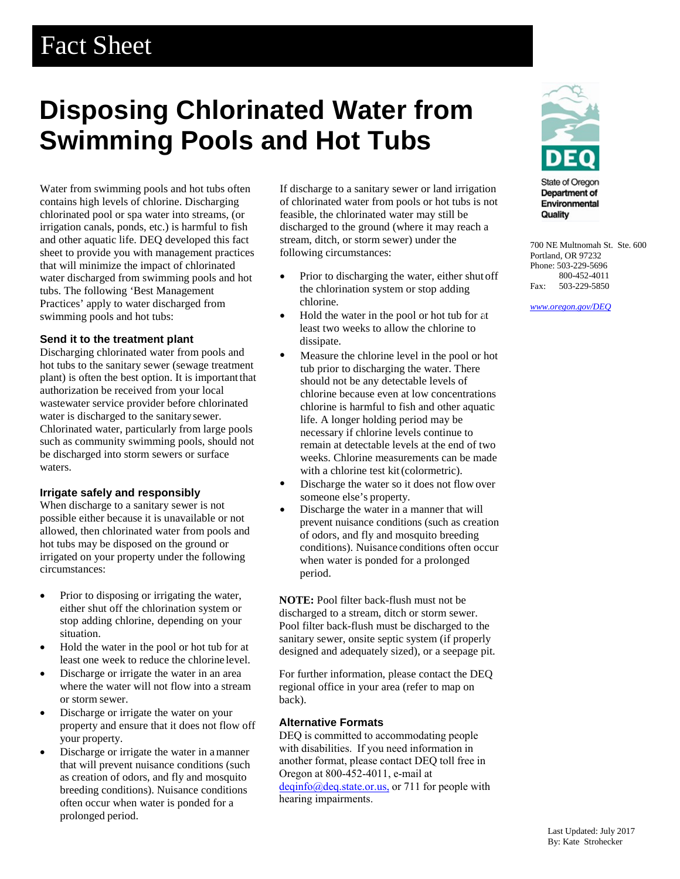## Fact Sheet

# **Disposing Chlorinated Water from Swimming Pools and Hot Tubs**

Water from swimming pools and hot tubs often contains high levels of chlorine. Discharging chlorinated pool or spa water into streams, (or irrigation canals, ponds, etc.) is harmful to fish and other aquatic life. DEQ developed this fact sheet to provide you with management practices that will minimize the impact of chlorinated water discharged from swimming pools and hot tubs. The following 'Best Management Practices' apply to water discharged from swimming pools and hot tubs:

## **Send it to the treatment plant**

Discharging chlorinated water from pools and hot tubs to the sanitary sewer (sewage treatment plant) is often the best option. It is importantthat authorization be received from your local wastewater service provider before chlorinated water is discharged to the sanitary sewer. Chlorinated water, particularly from large pools such as community swimming pools, should not be discharged into storm sewers or surface waters.

## **Irrigate safely and responsibly**

When discharge to a sanitary sewer is not possible either because it is unavailable or not allowed, then chlorinated water from pools and hot tubs may be disposed on the ground or irrigated on your property under the following circumstances:

- Prior to disposing or irrigating the water, either shut off the chlorination system or stop adding chlorine, depending on your situation.
- Hold the water in the pool or hot tub for at least one week to reduce the chlorine level.
- Discharge or irrigate the water in an area where the water will not flow into a stream or storm sewer.
- Discharge or irrigate the water on your property and ensure that it does not flow off your property.
- Discharge or irrigate the water in a manner that will prevent nuisance conditions (such as creation of odors, and fly and mosquito breeding conditions). Nuisance conditions often occur when water is ponded for a prolonged period.

If discharge to a sanitary sewer or land irrigation of chlorinated water from pools or hot tubs is not feasible, the chlorinated water may still be discharged to the ground (where it may reach a stream, ditch, or storm sewer) under the following circumstances:

- Prior to discharging the water, either shut off the chlorination system or stop adding chlorine.
- Hold the water in the pool or hot tub for at least two weeks to allow the chlorine to dissipate.
- Measure the chlorine level in the pool or hot tub prior to discharging the water. There should not be any detectable levels of chlorine because even at low concentrations chlorine is harmful to fish and other aquatic life. A longer holding period may be necessary if chlorine levels continue to remain at detectable levels at the end of two weeks. Chlorine measurements can be made with a chlorine test kit(colormetric).
- Discharge the water so it does not flow over someone else's property.
- Discharge the water in a manner that will prevent nuisance conditions (such as creation of odors, and fly and mosquito breeding conditions). Nuisance conditions often occur when water is ponded for a prolonged period.

**NOTE:** Pool filter back-flush must not be discharged to a stream, ditch or storm sewer. Pool filter back-flush must be discharged to the sanitary sewer, onsite septic system (if properly designed and adequately sized), or a seepage pit.

For further information, please contact the DEQ regional office in your area (refer to map on back).

## **Alternative Formats**

DEQ is committed to accommodating people with disabilities. If you need information in another format, please contact DEQ toll free in Oregon at 800-452-4011, e-mail at deqinfo@deq.state.or.us, or 711 for people with hearing impairments.



**State of Oregon** Department of Environmental Quality

700 NE Multnomah St. Ste. 600 Portland, OR 97232 Phone: 503-229-5696 800-452-4011 Fax: 503-229-5850

*[www.oregon.gov/DEQ](file://deqhq1/QNETcsd/Communications/Templates/www.oregon.gov/DEQ)*